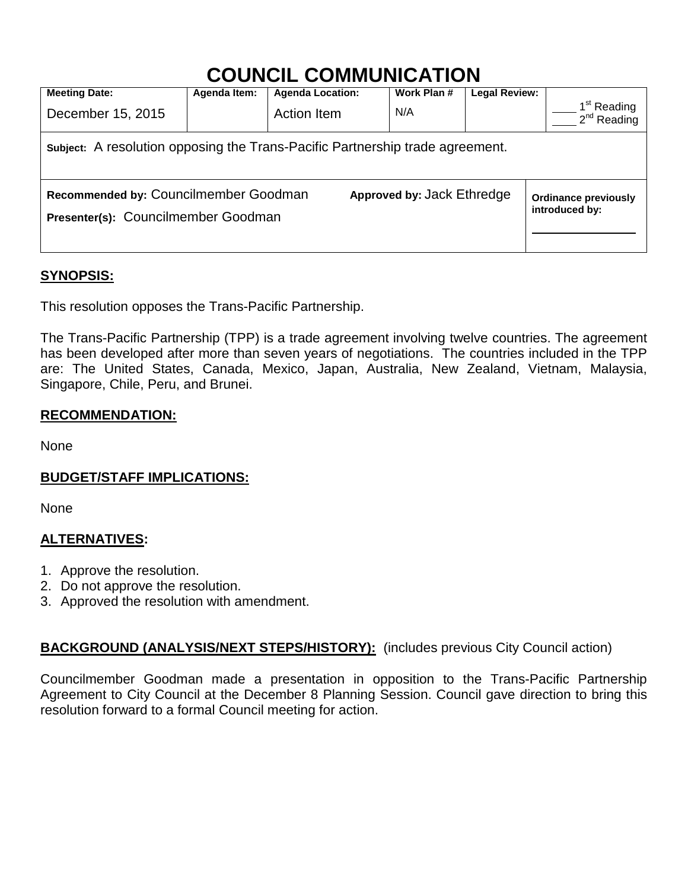# **COUNCIL COMMUNICATION**

| <b>Meeting Date:</b>                                                          | Agenda Item: | <b>Agenda Location:</b>    | Work Plan # | <b>Legal Review:</b>                          |                                             |
|-------------------------------------------------------------------------------|--------------|----------------------------|-------------|-----------------------------------------------|---------------------------------------------|
| December 15, 2015                                                             |              | Action Item                | N/A         |                                               | 1 <sup>st</sup> Reading<br>$2^{nd}$ Reading |
| Subject: A resolution opposing the Trans-Pacific Partnership trade agreement. |              |                            |             |                                               |                                             |
| Recommended by: Councilmember Goodman<br>Presenter(s): Councilmember Goodman  |              | Approved by: Jack Ethredge |             | <b>Ordinance previously</b><br>introduced by: |                                             |

# **SYNOPSIS:**

This resolution opposes the Trans-Pacific Partnership.

The Trans-Pacific Partnership (TPP) is a trade agreement involving twelve countries. The agreement has been developed after more than seven years of negotiations. The countries included in the TPP are: The United States, Canada, Mexico, Japan, Australia, New Zealand, Vietnam, Malaysia, Singapore, Chile, Peru, and Brunei.

# **RECOMMENDATION:**

None

# **BUDGET/STAFF IMPLICATIONS:**

None

## **ALTERNATIVES:**

- 1. Approve the resolution.
- 2. Do not approve the resolution.
- 3. Approved the resolution with amendment.

# **BACKGROUND (ANALYSIS/NEXT STEPS/HISTORY):** (includes previous City Council action)

Councilmember Goodman made a presentation in opposition to the Trans-Pacific Partnership Agreement to City Council at the December 8 Planning Session. Council gave direction to bring this resolution forward to a formal Council meeting for action.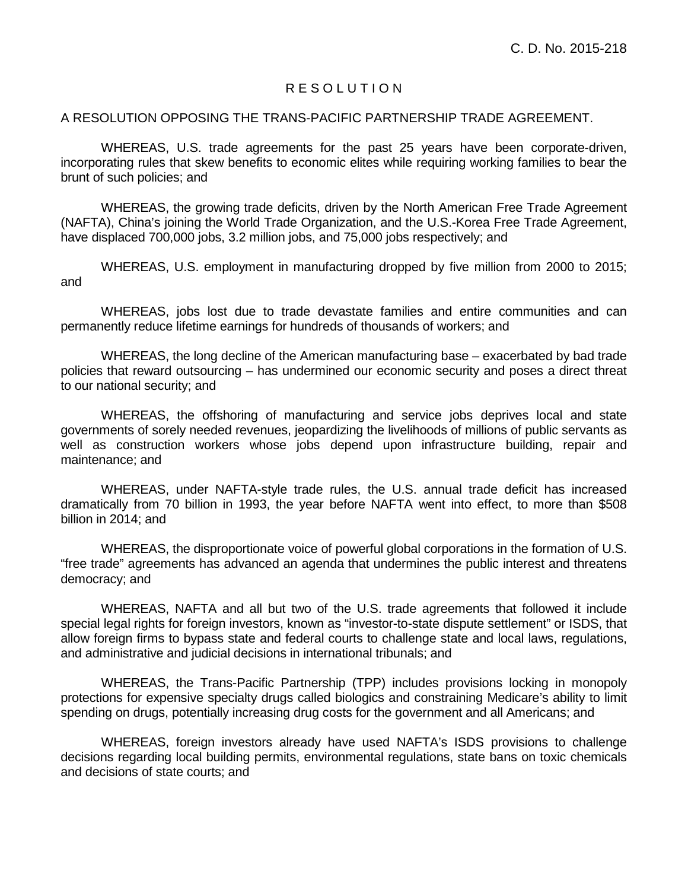### R E S O L U T I O N

#### A RESOLUTION OPPOSING THE TRANS-PACIFIC PARTNERSHIP TRADE AGREEMENT.

WHEREAS, U.S. trade agreements for the past 25 years have been corporate-driven, incorporating rules that skew benefits to economic elites while requiring working families to bear the brunt of such policies; and

WHEREAS, the growing trade deficits, driven by the North American Free Trade Agreement (NAFTA), China's joining the World Trade Organization, and the U.S.-Korea Free Trade Agreement, have displaced 700,000 jobs, 3.2 million jobs, and 75,000 jobs respectively; and

WHEREAS, U.S. employment in manufacturing dropped by five million from 2000 to 2015; and

WHEREAS, jobs lost due to trade devastate families and entire communities and can permanently reduce lifetime earnings for hundreds of thousands of workers; and

WHEREAS, the long decline of the American manufacturing base – exacerbated by bad trade policies that reward outsourcing – has undermined our economic security and poses a direct threat to our national security; and

WHEREAS, the offshoring of manufacturing and service jobs deprives local and state governments of sorely needed revenues, jeopardizing the livelihoods of millions of public servants as well as construction workers whose jobs depend upon infrastructure building, repair and maintenance; and

WHEREAS, under NAFTA-style trade rules, the U.S. annual trade deficit has increased dramatically from 70 billion in 1993, the year before NAFTA went into effect, to more than \$508 billion in 2014; and

WHEREAS, the disproportionate voice of powerful global corporations in the formation of U.S. "free trade" agreements has advanced an agenda that undermines the public interest and threatens democracy; and

WHEREAS, NAFTA and all but two of the U.S. trade agreements that followed it include special legal rights for foreign investors, known as "investor-to-state dispute settlement" or ISDS, that allow foreign firms to bypass state and federal courts to challenge state and local laws, regulations, and administrative and judicial decisions in international tribunals; and

WHEREAS, the Trans-Pacific Partnership (TPP) includes provisions locking in monopoly protections for expensive specialty drugs called biologics and constraining Medicare's ability to limit spending on drugs, potentially increasing drug costs for the government and all Americans; and

WHEREAS, foreign investors already have used NAFTA's ISDS provisions to challenge decisions regarding local building permits, environmental regulations, state bans on toxic chemicals and decisions of state courts; and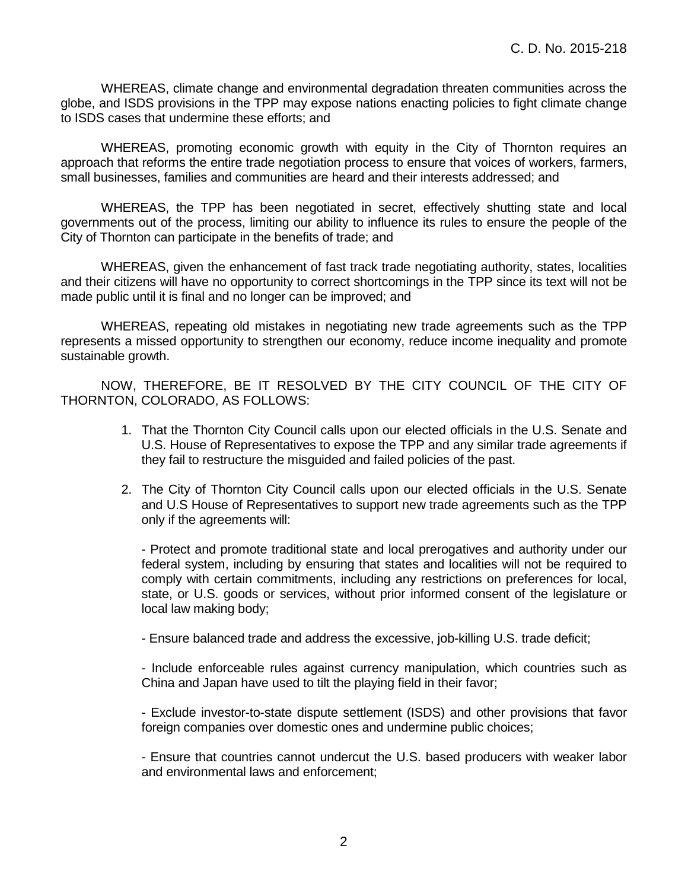WHEREAS, climate change and environmental degradation threaten communities across the globe, and ISDS provisions in the TPP may expose nations enacting policies to fight climate change to ISDS cases that undermine these efforts; and

WHEREAS, promoting economic growth with equity in the City of Thornton requires an approach that reforms the entire trade negotiation process to ensure that voices of workers, farmers, small businesses, families and communities are heard and their interests addressed; and

WHEREAS, the TPP has been negotiated in secret, effectively shutting state and local governments out of the process, limiting our ability to influence its rules to ensure the people of the City of Thornton can participate in the benefits of trade; and

WHEREAS, given the enhancement of fast track trade negotiating authority, states, localities and their citizens will have no opportunity to correct shortcomings in the TPP since its text will not be made public until it is final and no longer can be improved; and

WHEREAS, repeating old mistakes in negotiating new trade agreements such as the TPP represents a missed opportunity to strengthen our economy, reduce income inequality and promote sustainable growth.

NOW, THEREFORE, BE IT RESOLVED BY THE CITY COUNCIL OF THE CITY OF THORNTON, COLORADO, AS FOLLOWS:

- 1. That the Thornton City Council calls upon our elected officials in the U.S. Senate and U.S. House of Representatives to expose the TPP and any similar trade agreements if they fail to restructure the misguided and failed policies of the past.
- 2. The City of Thornton City Council calls upon our elected officials in the U.S. Senate and U.S House of Representatives to support new trade agreements such as the TPP only if the agreements will:

- Protect and promote traditional state and local prerogatives and authority under our federal system, including by ensuring that states and localities will not be required to comply with certain commitments, including any restrictions on preferences for local, state, or U.S. goods or services, without prior informed consent of the legislature or local law making body;

- Ensure balanced trade and address the excessive, job-killing U.S. trade deficit;

- Include enforceable rules against currency manipulation, which countries such as China and Japan have used to tilt the playing field in their favor;

- Exclude investor-to-state dispute settlement (ISDS) and other provisions that favor foreign companies over domestic ones and undermine public choices;

- Ensure that countries cannot undercut the U.S. based producers with weaker labor and environmental laws and enforcement;